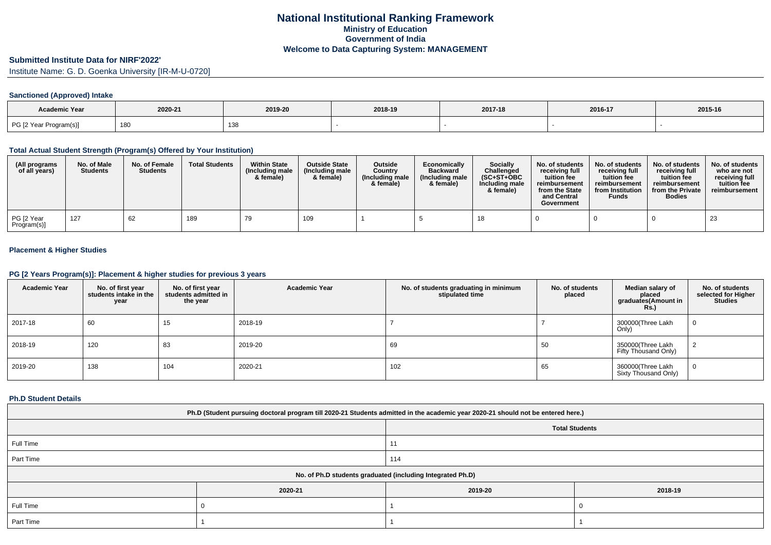# **Submitted Institute Data for NIRF'2022'**

Institute Name: G. D. Goenka University [IR-M-U-0720]

## **Sanctioned (Approved) Intake**

| <b>Academic Year</b>   |         |         |         |         |         |         |
|------------------------|---------|---------|---------|---------|---------|---------|
|                        | 2020-21 | 2019-20 | 2018-19 | 2017-18 | 2016-17 | 2015-16 |
| PG [2 Year Program(s)] | 180     | 138     |         |         |         |         |

#### **Total Actual Student Strength (Program(s) Offered by Your Institution)**

| (All programs<br>of all years) | No. of Male<br><b>Students</b> | No. of Female<br><b>Students</b> | <b>Total Students</b> | <b>Within State</b><br>(Including male<br>& female) | <b>Outside State</b><br>(Including male)<br>& female) | <b>Outside</b><br>Country<br>(Including male<br>& female) | Economically<br><b>Backward</b><br>(Including male<br>& female) | <b>Socially</b><br>Challenged<br>$(SC+ST+OBC)$<br>Including male<br>& female) | No. of students<br>receivina full<br>tuition fee<br>reimbursement<br>from the State<br>and Central<br>Government | No. of students<br>receiving full<br>tuition fee<br>reimbursement<br>from Institution<br><b>Funds</b> | No. of students<br>receiving full<br>tuition fee<br>reimbursement<br>from the Private<br><b>Bodies</b> | No. of students<br>who are not<br>receiving full<br>tuition fee<br>reimbursement |
|--------------------------------|--------------------------------|----------------------------------|-----------------------|-----------------------------------------------------|-------------------------------------------------------|-----------------------------------------------------------|-----------------------------------------------------------------|-------------------------------------------------------------------------------|------------------------------------------------------------------------------------------------------------------|-------------------------------------------------------------------------------------------------------|--------------------------------------------------------------------------------------------------------|----------------------------------------------------------------------------------|
| PG [2 Year<br>Program(s)]      | 127                            | 62                               | 189                   |                                                     | 109                                                   |                                                           |                                                                 |                                                                               |                                                                                                                  |                                                                                                       |                                                                                                        | 23                                                                               |

## **Placement & Higher Studies**

### **PG [2 Years Program(s)]: Placement & higher studies for previous 3 years**

| <b>Academic Year</b> | No. of first year<br>students intake in the<br>year | No. of first year<br>students admitted in<br>the year | <b>Academic Year</b> | No. of students graduating in minimum<br>stipulated time | No. of students<br>placed | Median salary of<br>placed<br>graduates(Amount in<br><b>Rs.)</b> | No. of students<br>selected for Higher<br><b>Studies</b> |
|----------------------|-----------------------------------------------------|-------------------------------------------------------|----------------------|----------------------------------------------------------|---------------------------|------------------------------------------------------------------|----------------------------------------------------------|
| 2017-18              | 60                                                  | 15                                                    | 2018-19              |                                                          |                           | 300000(Three Lakh<br>Only)                                       | 0                                                        |
| 2018-19              | 120                                                 | 83                                                    | 2019-20              | 69                                                       | 50                        | 350000(Three Lakh<br>Fifty Thousand Only)                        |                                                          |
| 2019-20              | 138                                                 | 104                                                   | 2020-21              | 102                                                      | 65                        | 360000(Three Lakh<br>Sixty Thousand Only)                        | $\mathbf 0$                                              |

#### **Ph.D Student Details**

| Ph.D (Student pursuing doctoral program till 2020-21 Students admitted in the academic year 2020-21 should not be entered here.) |         |                       |         |  |  |  |
|----------------------------------------------------------------------------------------------------------------------------------|---------|-----------------------|---------|--|--|--|
|                                                                                                                                  |         | <b>Total Students</b> |         |  |  |  |
| Full Time                                                                                                                        |         |                       |         |  |  |  |
| Part Time                                                                                                                        |         | 114                   |         |  |  |  |
| No. of Ph.D students graduated (including Integrated Ph.D)                                                                       |         |                       |         |  |  |  |
|                                                                                                                                  | 2020-21 | 2019-20               | 2018-19 |  |  |  |
| Full Time                                                                                                                        |         |                       |         |  |  |  |
| Part Time                                                                                                                        |         |                       |         |  |  |  |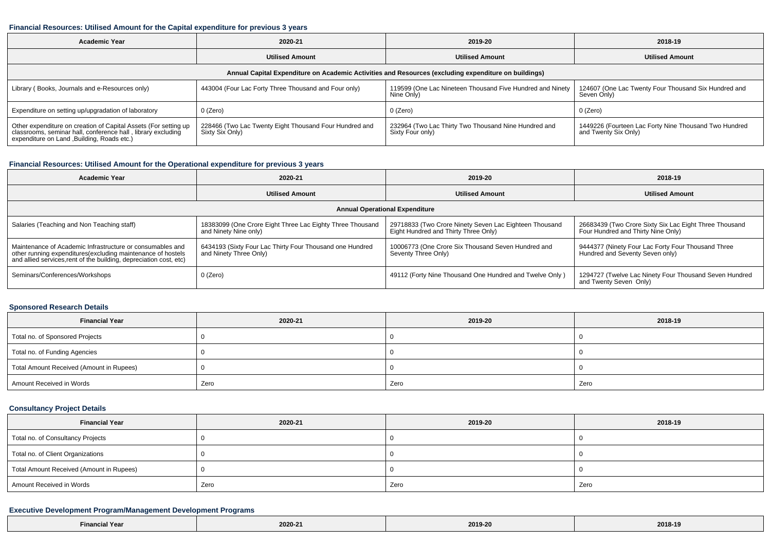#### **Financial Resources: Utilised Amount for the Capital expenditure for previous 3 years**

| <b>Academic Year</b>                                                                                                                                                           | 2020-21                                                                   | 2019-20                                                                  | 2018-19                                                                       |  |  |  |  |  |
|--------------------------------------------------------------------------------------------------------------------------------------------------------------------------------|---------------------------------------------------------------------------|--------------------------------------------------------------------------|-------------------------------------------------------------------------------|--|--|--|--|--|
|                                                                                                                                                                                | <b>Utilised Amount</b>                                                    | <b>Utilised Amount</b>                                                   | <b>Utilised Amount</b>                                                        |  |  |  |  |  |
| Annual Capital Expenditure on Academic Activities and Resources (excluding expenditure on buildings)                                                                           |                                                                           |                                                                          |                                                                               |  |  |  |  |  |
| Library (Books, Journals and e-Resources only)                                                                                                                                 | 443004 (Four Lac Forty Three Thousand and Four only)                      | 119599 (One Lac Nineteen Thousand Five Hundred and Ninety<br>Nine Only)  | 124607 (One Lac Twenty Four Thousand Six Hundred and<br>Seven Only)           |  |  |  |  |  |
| Expenditure on setting up/upgradation of laboratory                                                                                                                            | 0 (Zero)                                                                  | 0 (Zero)                                                                 | 0 (Zero)                                                                      |  |  |  |  |  |
| Other expenditure on creation of Capital Assets (For setting up<br>classrooms, seminar hall, conference hall, library excluding<br>expenditure on Land , Building, Roads etc.) | 228466 (Two Lac Twenty Eight Thousand Four Hundred and<br>Sixty Six Only) | 232964 (Two Lac Thirty Two Thousand Nine Hundred and<br>Sixty Four only) | 1449226 (Fourteen Lac Forty Nine Thousand Two Hundred<br>and Twenty Six Only) |  |  |  |  |  |

# **Financial Resources: Utilised Amount for the Operational expenditure for previous 3 years**

| <b>Academic Year</b>                                                                                                                                                                            | 2020-21                                                                            | 2019-20                                                                                        | 2018-19                                                                                      |  |  |  |  |  |
|-------------------------------------------------------------------------------------------------------------------------------------------------------------------------------------------------|------------------------------------------------------------------------------------|------------------------------------------------------------------------------------------------|----------------------------------------------------------------------------------------------|--|--|--|--|--|
|                                                                                                                                                                                                 | <b>Utilised Amount</b>                                                             | <b>Utilised Amount</b>                                                                         | <b>Utilised Amount</b>                                                                       |  |  |  |  |  |
| <b>Annual Operational Expenditure</b>                                                                                                                                                           |                                                                                    |                                                                                                |                                                                                              |  |  |  |  |  |
| Salaries (Teaching and Non Teaching staff)                                                                                                                                                      | 18383099 (One Crore Eight Three Lac Eighty Three Thousand<br>and Ninety Nine only) | 29718833 (Two Crore Ninety Seven Lac Eighteen Thousand<br>Eight Hundred and Thirty Three Only) | 26683439 (Two Crore Sixty Six Lac Eight Three Thousand<br>Four Hundred and Thirty Nine Only) |  |  |  |  |  |
| Maintenance of Academic Infrastructure or consumables and<br>other running expenditures (excluding maintenance of hostels<br>and allied services, rent of the building, depreciation cost, etc) | 6434193 (Sixty Four Lac Thirty Four Thousand one Hundred<br>and Ninety Three Only) | 10006773 (One Crore Six Thousand Seven Hundred and<br>Seventy Three Only)                      | 9444377 (Ninety Four Lac Forty Four Thousand Three<br>Hundred and Seventy Seven only)        |  |  |  |  |  |
| Seminars/Conferences/Workshops                                                                                                                                                                  | 0 (Zero)                                                                           | 49112 (Forty Nine Thousand One Hundred and Twelve Only)                                        | 1294727 (Twelve Lac Ninety Four Thousand Seven Hundred<br>and Twenty Seven Only)             |  |  |  |  |  |

#### **Sponsored Research Details**

| <b>Financial Year</b>                    | 2020-21 | 2019-20 | 2018-19 |
|------------------------------------------|---------|---------|---------|
| Total no. of Sponsored Projects          |         |         |         |
| Total no. of Funding Agencies            |         |         |         |
| Total Amount Received (Amount in Rupees) |         |         |         |
| Amount Received in Words                 | Zero    | Zero    | Zero    |

## **Consultancy Project Details**

| <b>Financial Year</b>                    | 2020-21 | 2019-20 | 2018-19 |
|------------------------------------------|---------|---------|---------|
| Total no. of Consultancy Projects        |         |         |         |
| Total no. of Client Organizations        |         |         |         |
| Total Amount Received (Amount in Rupees) |         |         |         |
| Amount Received in Words                 | Zero    | Zero    | Zero    |

### **Executive Development Program/Management Development Programs**

| Il Year<br>∠inanci <i>r</i> | 2020-21 | 2019-2<br>. | 2018-19<br>---- -- |
|-----------------------------|---------|-------------|--------------------|
|-----------------------------|---------|-------------|--------------------|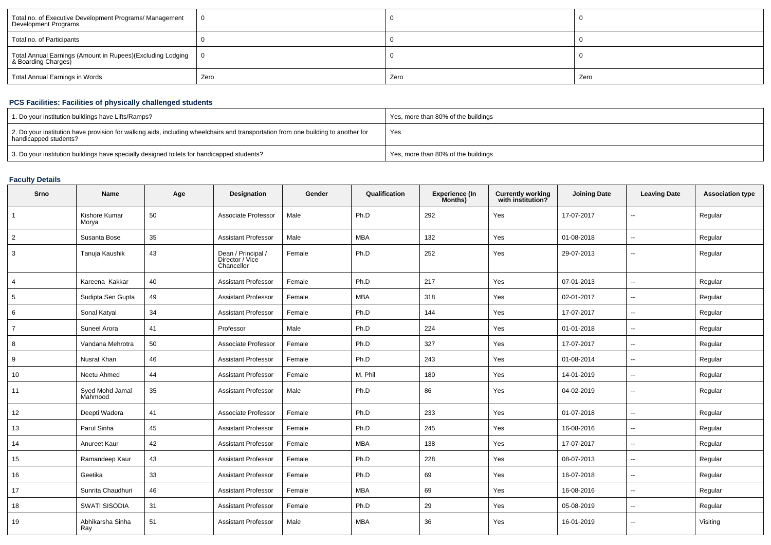| Total no. of Executive Development Programs/ Management<br>Development Programs   |      |      |      |
|-----------------------------------------------------------------------------------|------|------|------|
| Total no. of Participants                                                         |      |      |      |
| Total Annual Earnings (Amount in Rupees)(Excluding Lodging<br>& Boarding Charges) |      |      |      |
| Total Annual Earnings in Words                                                    | Zero | Zero | Zero |

# **PCS Facilities: Facilities of physically challenged students**

| 1. Do your institution buildings have Lifts/Ramps?                                                                                                         | Yes, more than 80% of the buildings |
|------------------------------------------------------------------------------------------------------------------------------------------------------------|-------------------------------------|
| 2. Do your institution have provision for walking aids, including wheelchairs and transportation from one building to another for<br>handicapped students? | Yes                                 |
| 3. Do your institution buildings have specially designed toilets for handicapped students?                                                                 | Yes, more than 80% of the buildings |

# **Faculty Details**

| Srno           | Name                       | Age | Designation                                         | Gender | Qualification | <b>Experience (In</b><br>Months) | <b>Currently working</b><br>with institution? | <b>Joining Date</b> | <b>Leaving Date</b>      | <b>Association type</b> |
|----------------|----------------------------|-----|-----------------------------------------------------|--------|---------------|----------------------------------|-----------------------------------------------|---------------------|--------------------------|-------------------------|
|                | Kishore Kumar<br>Morya     | 50  | Associate Professor                                 | Male   | Ph.D          | 292                              | Yes                                           | 17-07-2017          | $\overline{a}$           | Regular                 |
| $\overline{2}$ | Susanta Bose               | 35  | <b>Assistant Professor</b>                          | Male   | <b>MBA</b>    | 132                              | Yes                                           | 01-08-2018          | $\sim$                   | Regular                 |
| 3              | Tanuja Kaushik             | 43  | Dean / Principal /<br>Director / Vice<br>Chancellor | Female | Ph.D          | 252                              | Yes                                           | 29-07-2013          | --                       | Regular                 |
| $\overline{4}$ | Kareena Kakkar             | 40  | <b>Assistant Professor</b>                          | Female | Ph.D          | 217                              | Yes                                           | 07-01-2013          | --                       | Regular                 |
| 5              | Sudipta Sen Gupta          | 49  | <b>Assistant Professor</b>                          | Female | <b>MBA</b>    | 318                              | Yes                                           | 02-01-2017          | $\mathbf{u}$             | Regular                 |
| 6              | Sonal Katyal               | 34  | <b>Assistant Professor</b>                          | Female | Ph.D          | 144                              | Yes                                           | 17-07-2017          | $\mathbf{u}$             | Regular                 |
| $\overline{7}$ | Suneel Arora               | 41  | Professor                                           | Male   | Ph.D          | 224                              | Yes                                           | 01-01-2018          | $\overline{\phantom{a}}$ | Regular                 |
| 8              | Vandana Mehrotra           | 50  | Associate Professor                                 | Female | Ph.D          | 327                              | Yes                                           | 17-07-2017          | $\mathbf{u}$             | Regular                 |
| 9              | Nusrat Khan                | 46  | <b>Assistant Professor</b>                          | Female | Ph.D          | 243                              | Yes                                           | 01-08-2014          | $\mathbf{u}$             | Regular                 |
| 10             | Neetu Ahmed                | 44  | <b>Assistant Professor</b>                          | Female | M. Phil       | 180                              | Yes                                           | 14-01-2019          | $\mathbf{u}$             | Regular                 |
| 11             | Syed Mohd Jamal<br>Mahmood | 35  | <b>Assistant Professor</b>                          | Male   | Ph.D          | 86                               | Yes                                           | 04-02-2019          | --                       | Regular                 |
| 12             | Deepti Wadera              | 41  | Associate Professor                                 | Female | Ph.D          | 233                              | Yes                                           | 01-07-2018          | --                       | Regular                 |
| 13             | Parul Sinha                | 45  | <b>Assistant Professor</b>                          | Female | Ph.D          | 245                              | Yes                                           | 16-08-2016          | --                       | Regular                 |
| 14             | Anureet Kaur               | 42  | <b>Assistant Professor</b>                          | Female | <b>MBA</b>    | 138                              | Yes                                           | 17-07-2017          | $\sim$                   | Regular                 |
| 15             | Ramandeep Kaur             | 43  | <b>Assistant Professor</b>                          | Female | Ph.D          | 228                              | Yes                                           | 08-07-2013          | --                       | Regular                 |
| 16             | Geetika                    | 33  | <b>Assistant Professor</b>                          | Female | Ph.D          | 69                               | Yes                                           | 16-07-2018          | $\overline{a}$           | Regular                 |
| 17             | Sunrita Chaudhuri          | 46  | <b>Assistant Professor</b>                          | Female | <b>MBA</b>    | 69                               | Yes                                           | 16-08-2016          | $\sim$                   | Regular                 |
| 18             | <b>SWATI SISODIA</b>       | 31  | <b>Assistant Professor</b>                          | Female | Ph.D          | 29                               | Yes                                           | 05-08-2019          | $\overline{\phantom{a}}$ | Regular                 |
| 19             | Abhikarsha Sinha<br>Ray    | 51  | <b>Assistant Professor</b>                          | Male   | <b>MBA</b>    | 36                               | Yes                                           | 16-01-2019          | --                       | Visiting                |